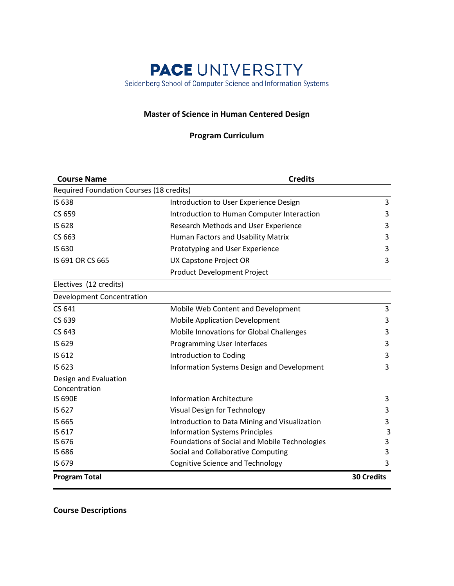# **PACE UNIVERSITY** Seidenberg School of Computer Science and Information Systems

#### **Master of Science in Human Centered Design**

# **Program Curriculum**

| <b>Credits</b>                                  |                                     |
|-------------------------------------------------|-------------------------------------|
| Required Foundation Courses (18 credits)        |                                     |
| Introduction to User Experience Design          | 3                                   |
| Introduction to Human Computer Interaction      | 3                                   |
| Research Methods and User Experience            | 3                                   |
| Human Factors and Usability Matrix              | 3                                   |
| Prototyping and User Experience                 | 3                                   |
| UX Capstone Project OR                          | 3                                   |
| Product Development Project                     |                                     |
|                                                 |                                     |
|                                                 |                                     |
| Mobile Web Content and Development              | 3                                   |
| <b>Mobile Application Development</b>           | 3                                   |
| <b>Mobile Innovations for Global Challenges</b> | 3                                   |
| Programming User Interfaces                     | 3                                   |
| Introduction to Coding                          | 3                                   |
| Information Systems Design and Development      | 3                                   |
|                                                 |                                     |
| <b>Information Architecture</b>                 | 3                                   |
|                                                 | 3                                   |
| Introduction to Data Mining and Visualization   | 3                                   |
| <b>Information Systems Principles</b>           | 3                                   |
| Foundations of Social and Mobile Technologies   | 3                                   |
| Social and Collaborative Computing              | 3                                   |
| <b>Cognitive Science and Technology</b>         | 3                                   |
|                                                 | <b>30 Credits</b>                   |
|                                                 | <b>Visual Design for Technology</b> |

**Course Descriptions**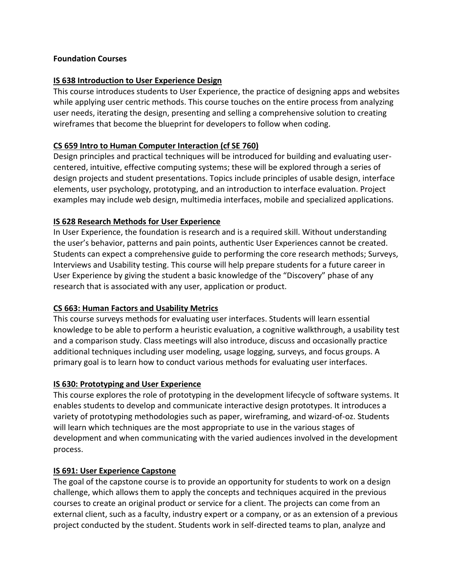#### **Foundation Courses**

#### **IS 638 Introduction to User Experience Design**

This course introduces students to User Experience, the practice of designing apps and websites while applying user centric methods. This course touches on the entire process from analyzing user needs, iterating the design, presenting and selling a comprehensive solution to creating wireframes that become the blueprint for developers to follow when coding.

## **CS 659 Intro to Human Computer Interaction (cf SE 760)**

Design principles and practical techniques will be introduced for building and evaluating usercentered, intuitive, effective computing systems; these will be explored through a series of design projects and student presentations. Topics include principles of usable design, interface elements, user psychology, prototyping, and an introduction to interface evaluation. Project examples may include web design, multimedia interfaces, mobile and specialized applications.

## **IS 628 Research Methods for User Experience**

In User Experience, the foundation is research and is a required skill. Without understanding the user's behavior, patterns and pain points, authentic User Experiences cannot be created. Students can expect a comprehensive guide to performing the core research methods; Surveys, Interviews and Usability testing. This course will help prepare students for a future career in User Experience by giving the student a basic knowledge of the "Discovery" phase of any research that is associated with any user, application or product.

## **CS 663: Human Factors and Usability Metrics**

This course surveys methods for evaluating user interfaces. Students will learn essential knowledge to be able to perform a heuristic evaluation, a cognitive walkthrough, a usability test and a comparison study. Class meetings will also introduce, discuss and occasionally practice additional techniques including user modeling, usage logging, surveys, and focus groups. A primary goal is to learn how to conduct various methods for evaluating user interfaces.

#### **IS 630: Prototyping and User Experience**

This course explores the role of prototyping in the development lifecycle of software systems. It enables students to develop and communicate interactive design prototypes. It introduces a variety of prototyping methodologies such as paper, wireframing, and wizard-of-oz. Students will learn which techniques are the most appropriate to use in the various stages of development and when communicating with the varied audiences involved in the development process.

#### **IS 691: User Experience Capstone**

The goal of the capstone course is to provide an opportunity for students to work on a design challenge, which allows them to apply the concepts and techniques acquired in the previous courses to create an original product or service for a client. The projects can come from an external client, such as a faculty, industry expert or a company, or as an extension of a previous project conducted by the student. Students work in self-directed teams to plan, analyze and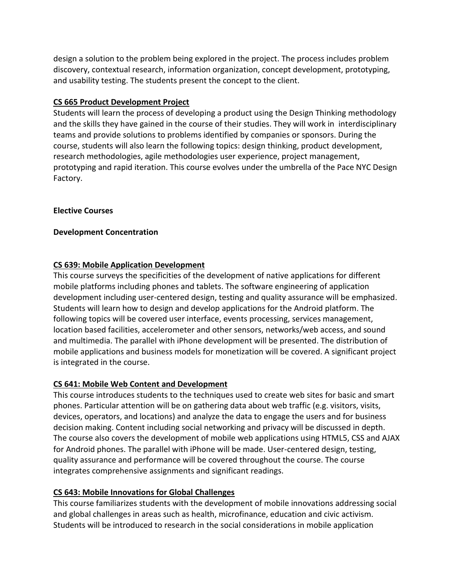design a solution to the problem being explored in the project. The process includes problem discovery, contextual research, information organization, concept development, prototyping, and usability testing. The students present the concept to the client.

## **CS 665 Product Development Project**

Students will learn the process of developing a product using the Design Thinking methodology and the skills they have gained in the course of their studies. They will work in interdisciplinary teams and provide solutions to problems identified by companies or sponsors. During the course, students will also learn the following topics: design thinking, product development, research methodologies, agile methodologies user experience, project management, prototyping and rapid iteration. This course evolves under the umbrella of the Pace NYC Design Factory.

## **Elective Courses**

#### **Development Concentration**

## **CS 639: Mobile Application Development**

This course surveys the specificities of the development of native applications for different mobile platforms including phones and tablets. The software engineering of application development including user-centered design, testing and quality assurance will be emphasized. Students will learn how to design and develop applications for the Android platform. The following topics will be covered user interface, events processing, services management, location based facilities, accelerometer and other sensors, networks/web access, and sound and multimedia. The parallel with iPhone development will be presented. The distribution of mobile applications and business models for monetization will be covered. A significant project is integrated in the course.

## **CS 641: Mobile Web Content and Development**

This course introduces students to the techniques used to create web sites for basic and smart phones. Particular attention will be on gathering data about web traffic (e.g. visitors, visits, devices, operators, and locations) and analyze the data to engage the users and for business decision making. Content including social networking and privacy will be discussed in depth. The course also covers the development of mobile web applications using HTML5, CSS and AJAX for Android phones. The parallel with iPhone will be made. User-centered design, testing, quality assurance and performance will be covered throughout the course. The course integrates comprehensive assignments and significant readings.

## **CS 643: Mobile Innovations for Global Challenges**

This course familiarizes students with the development of mobile innovations addressing social and global challenges in areas such as health, microfinance, education and civic activism. Students will be introduced to research in the social considerations in mobile application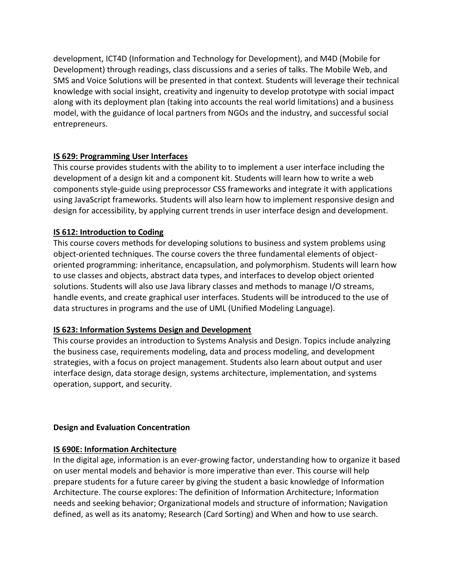development, ICT4D (Information and Technology for Development), and M4D (Mobile for Development) through readings, class discussions and a series of talks. The Mobile Web, and SMS and Voice Solutions will be presented in that context. Students will leverage their technical knowledge with social insight, creativity and ingenuity to develop prototype with social impact along with its deployment plan (taking into accounts the real world limitations) and a business model, with the guidance of local partners from NGOs and the industry, and successful social entrepreneurs.

## **IS 629: Programming User Interfaces**

This course provides students with the ability to to implement a user interface including the development of a design kit and a component kit. Students will learn how to write a web components style-guide using preprocessor CSS frameworks and integrate it with applications using JavaScript frameworks. Students will also learn how to implement responsive design and design for accessibility, by applying current trends in user interface design and development.

## **IS 612: Introduction to Coding**

This course covers methods for developing solutions to business and system problems using object-oriented techniques. The course covers the three fundamental elements of objectoriented programming: inheritance, encapsulation, and polymorphism. Students will learn how to use classes and objects, abstract data types, and interfaces to develop object oriented solutions. Students will also use Java library classes and methods to manage I/O streams, handle events, and create graphical user interfaces. Students will be introduced to the use of data structures in programs and the use of UML (Unified Modeling Language).

## **IS 623: Information Systems Design and Development**

This course provides an introduction to Systems Analysis and Design. Topics include analyzing the business case, requirements modeling, data and process modeling, and development strategies, with a focus on project management. Students also learn about output and user interface design, data storage design, systems architecture, implementation, and systems operation, support, and security.

## **Design and Evaluation Concentration**

# **IS 690E: Information Architecture**

In the digital age, information is an ever-growing factor, understanding how to organize it based on user mental models and behavior is more imperative than ever. This course will help prepare students for a future career by giving the student a basic knowledge of Information Architecture. The course explores: The definition of Information Architecture; Information needs and seeking behavior; Organizational models and structure of information; Navigation defined, as well as its anatomy; Research (Card Sorting) and When and how to use search.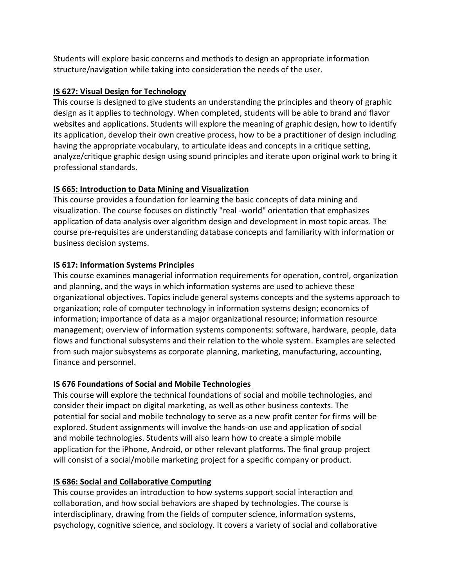Students will explore basic concerns and methods to design an appropriate information structure/navigation while taking into consideration the needs of the user.

## **IS 627: Visual Design for Technology**

This course is designed to give students an understanding the principles and theory of graphic design as it applies to technology. When completed, students will be able to brand and flavor websites and applications. Students will explore the meaning of graphic design, how to identify its application, develop their own creative process, how to be a practitioner of design including having the appropriate vocabulary, to articulate ideas and concepts in a critique setting, analyze/critique graphic design using sound principles and iterate upon original work to bring it professional standards.

# **IS 665: Introduction to Data Mining and Visualization**

This course provides a foundation for learning the basic concepts of data mining and visualization. The course focuses on distinctly "real -world" orientation that emphasizes application of data analysis over algorithm design and development in most topic areas. The course pre-requisites are understanding database concepts and familiarity with information or business decision systems.

# **IS 617: Information Systems Principles**

This course examines managerial information requirements for operation, control, organization and planning, and the ways in which information systems are used to achieve these organizational objectives. Topics include general systems concepts and the systems approach to organization; role of computer technology in information systems design; economics of information; importance of data as a major organizational resource; information resource management; overview of information systems components: software, hardware, people, data flows and functional subsystems and their relation to the whole system. Examples are selected from such major subsystems as corporate planning, marketing, manufacturing, accounting, finance and personnel.

# **IS 676 Foundations of Social and Mobile Technologies**

This course will explore the technical foundations of social and mobile technologies, and consider their impact on digital marketing, as well as other business contexts. The potential for social and mobile technology to serve as a new profit center for firms will be explored. Student assignments will involve the hands-on use and application of social and mobile technologies. Students will also learn how to create a simple mobile application for the iPhone, Android, or other relevant platforms. The final group project will consist of a social/mobile marketing project for a specific company or product.

# **IS 686: Social and Collaborative Computing**

This course provides an introduction to how systems support social interaction and collaboration, and how social behaviors are shaped by technologies. The course is interdisciplinary, drawing from the fields of computer science, information systems, psychology, cognitive science, and sociology. It covers a variety of social and collaborative